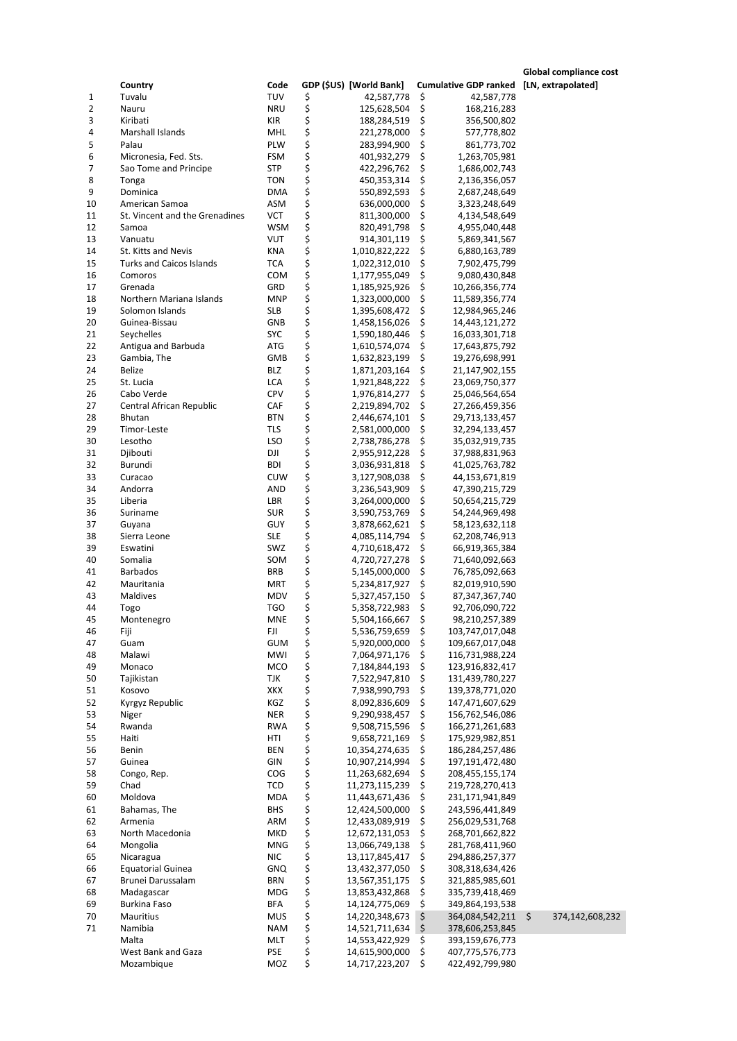**Country Code GDP (\$US) [World Bank] Cumulative GDP ranked [LN, extrapolated]** 1 Tuvalu TUV \$ 42,587,778 \$ 42,587,778 2 Nauru NRU \$ 125,628,504 \$ 168,216,283 188,284,519 \$ 7356,500,802<br>3 Marshall Islands 6 MHL 4 221,278,000 \$ 777,778,802 4 Marshall Islands MHL \$ 221,278,000 \$ 577,778,802 5 Palau PLW \$ 283,994,900 \$ 861,773,702<br>6 Micronesia, Fed. Sts. FSM \$ 401,932,279 \$ 1,263,705,981 6 Micronesia, Fed. Sts. FSM \$<br>7 Sao Tome and Principe 5TP \$ Sao Tome and Principe STP \$ 422,296,762 \$ 1,686,002,743 8 Tonga TON \$ 450,353,314 \$ 2,136,356,057 9 Dominica DMA \$ 550,892,593 \$ 2,687,248,649 10 American Samoa ASM \$ 636,000,000 \$ 3,323,248,649 11,300,000 \$ 4,134,548,649 St. Vincent and the Grenadines VCT \$ 811,300,000 \$ 4,134,548,649<br>1.955,040,448 \$ 820,491,798 \$ 4,955,040,448 12 Samoa WSM \$ 820,491,798 \$ 4,955,040,448  $$301,119$5,869,341,567$ <br> $$1,010,822,222$6880,163,789$ 14 St. Kitts and Nevis **KNA**  $\uparrow$  1,010,822,222  $\uparrow$  6,880,163,789<br>15 Turks and Caicos Islands TCA  $\uparrow$  1,022,312,010  $\uparrow$  7,902,475,799 15 Turks and Caicos Islands TCA  $\begin{array}{cccc} 15 & 1,022,312,010 & \text{S} & 7,902,475,799 \\ 16 & \text{Comoros} & \text{COM} & \text{S} & 1,177,955,049 & \text{S} & 9,080,430,848 \end{array}$  $$ 1,177,955,049 \$ 9,080,430,848$ <br> $$ 1,185,925,926 \$ 10,266,356,774$ 17 Grenada GRD \$ 1,185,925,926 \$ 10,266,356,774 Northern Mariana Islands 19 Solomon Islands SLB \$ 1,395,608,472 \$ 12,984,965,246 20 Guinea-Bissau GNB \$ 1,458,156,026 \$ 14,443,121,272 21 Seychelles SYC \$ 1,590,180,446 \$ 16,033,301,718<br>22 Antigua and Barbuda ATG \$ 1,610,574,074 \$ 17,643,875,792 22 Antigua and Barbuda ATG \$ 1,610,574,074 \$ 17,643,875,792 19.276.698.991 24 Belize BLZ \$ 1,871,203,164 \$ 21,147,902,155 25 St. Lucia LCA \$ 1,921,848,222 \$ 23,069,750,377 26 Cabo Verde CPV \$ 1,976,814,277 \$ 25,046,564,654<br>27 Central African Republic CAF \$ 2,219,894,702 \$ 27,266,459,356 27 Central African Republic CAF \$ 2,219,894,702 \$ 27,266,459,356<br>28 Bhutan 1970 BTN \$ 2,446,674,101 \$ 29,713,133,457 2.446.674.101 \$ 29.713.133.457 29 Timor-Leste TLS \$ 2,581,000,000 \$ 32,294,133,457<br>30 Lesotho LSO \$ 2,738,786,278 \$ 35,032,919,735 30 Lesotho LSO \$ 2,738,786,278 \$ 35,032,919,735 31 Djibouti DJI \$ 2,955,912,228 \$ 37,988,831,963<br>32 Burundi BDI \$ 3,036,931,818 \$ 41,025,763,782 41,025,763,782 33 Curacao CUW \$ 3,127,908,038 \$ 44,153,671,819 34 Andorra 19 AND \$ 3,236,543,909 \$ 47,390,215,729<br>35 Liberia 19 LBR \$ 3,264,000,000 \$ 50,654,215,729 35 Liberia LBR \$ 3,264,000,000 \$ 50,654,215,729 36 Suriname SUR \$ 3,590,753,769 \$ 54,244,969,498 37 Guyana GUY \$ 3,878,662,621 \$ 58,123,632,118 38 Sierra Leone SLE \$ 4,085,114,794 \$ 62,208,746,913 39 Eswatini SWZ \$ 4,710,618,472 \$ 66,919,365,384 40 Somalia SOM \$ 4,720,727,278 \$ 71,640,092,663 41 Barbados BRB \$ 5,145,000,000 \$ 76,785,092,663  $\begin{array}{ccccc} 5 & 5,234,817,927 & 5 & 82,019,910,590 \\ 5 & 5,327,457,150 & 5 & 87,347,367,740 \end{array}$ 43 Maldives MOV \$ 5,327,457,150 \$ 87,347,367,740<br>44 Togo TGO \$ 5,358,722,983 \$ 92,706,090,722 44 Togo TGO \$ 5,358,722,983 \$ 92,706,090,722

123.916.832.417

\$ 166.271,261,683

 $\begin{array}{r} 5 \ 3,853,432,868 \ 5 \ 14,124,775,069 \ 5 \ \end{array}$  349,864,193,538

45 Montenegro MNE \$ 5,504,166,667 \$ 98,210,257,389<br>46 Fiji FJI \$ 5,536,759,659 \$ 103,747,017,048 46 Fiji FJI \$ 5,536,759,659 \$ 103,747,017,048 47 Guam GUM \$ 5,920,000,000 \$ 109,667,017,048<br>48 Malawi MWI \$ 7,064,971,176 \$ 116,731,988,224 48 Malawi MWI \$ 7,064,971,176 \$ 116,731,988,224<br>49 Monaco MCO \$ 7,184,844,193 \$ 123,916,832,417

 Tajikistan TJK \$ 7,522,947,810 \$ 131,439,780,227 Kosovo XKX \$ 7,938,990,793 \$ 139,378,771,020 Kyrgyz Republic KGZ \$ 8,092,836,609 \$ 147,471,607,629 53 Niger 156,762,546,086 NER \$ 9,290,938,457 \$ 156,762,546,086<br>54 Rwanda 1980 RWA \$ 9,508,715,596 \$ 166,271,261,683

55 Haiti HTI \$ 9,658,721,169 \$ 175,929,982,851<br>56 Benin BEN \$ 10,354,274,635 \$ 186,284,257,486 56 Benin BEN \$ 10,354,274,635 \$ 186,284,257,486

57 Guinea (GIN \$ 10,907,214,994 \$ 197,191,472,480<br>58 Congo, Rep. (COG \$ 11,263,682,694 \$ 208,455,155,174 58 Congo, Rep. COG \$ 11,263,682,694 \$ 208,455,155,174 Chad TCD \$ 11,273,115,239 \$ 219,728,270,413 60 Moldova MDA \$ 11,443,671,436 \$ 231,171,941,849 61 Bahamas, The BHS \$ 12,424,500,000 \$ 243,596,441,849 62 Armenia ARM \$ 12,433,089,919 \$ 256,029,531,768<br>63 North Macedonia MKD \$ 12,672,131,053 \$ 268,701,662,822

69 Burkina Faso BFA \$ 14,124,775,069 \$ 349,864,193,538

71 Namibia NAM \$ 14,521,711,634 \$ 378,606,253,845 Malta 199,159,676,773<br>
West Bank and Gaza 1990 PSE 5 14,615,900,000 \$ 407,775,576,773

 Mongolia MNG \$ 13,066,749,138 \$ 281,768,411,960 Nicaragua NIC \$ 13,117,845,417 \$ 294,886,257,377 Equatorial Guinea GNQ \$ 13,432,377,050 \$ 308,318,634,426 Brunei Darussalam BRN \$ 13,567,351,175 \$ 321,885,985,601

Mozambique MOZ \$ 14,717,223,207 \$ 422,492,799,980

70 Mauritius MUS \$ 14,220,348,673 \$ 364,084,542,211 \$ 374,142,608,232

63 North Macedonia 12,672,1200 MKD \$<br>64 Mongolia 12,672,131,062 \$

West Bank and Gaza

**Global compliance cost**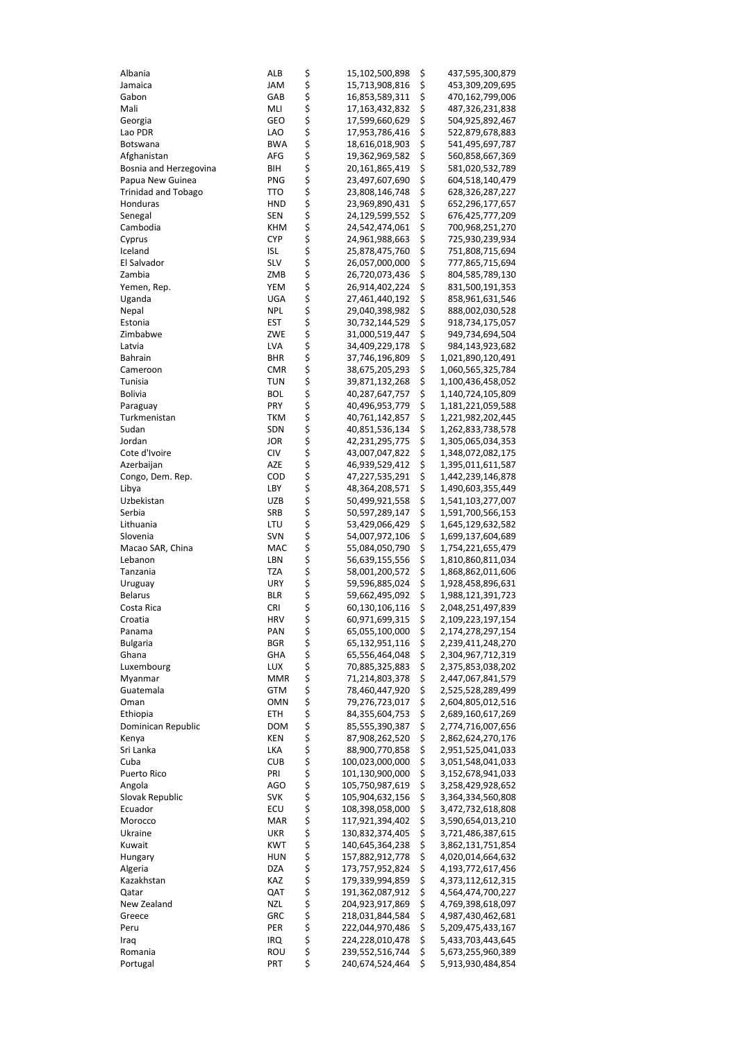| Albania                    | ALB        | \$          | 15,102,500,898                   | \$       | 437,595,300,879                        |
|----------------------------|------------|-------------|----------------------------------|----------|----------------------------------------|
| Jamaica                    | JAM        | \$          | 15,713,908,816                   | \$       | 453,309,209,695                        |
| Gabon                      | GAB        | \$          | 16,853,589,311                   | \$       | 470,162,799,006                        |
| Mali                       | MLI        | \$<br>\$    | 17,163,432,832                   | \$       | 487,326,231,838                        |
| Georgia                    | GEO        |             | 17,599,660,629                   | \$       | 504,925,892,467                        |
| Lao PDR                    | LAO        | \$<br>\$    | 17,953,786,416                   | \$       | 522,879,678,883                        |
| Botswana                   | <b>BWA</b> |             | 18,616,018,903                   | \$       | 541,495,697,787                        |
| Afghanistan                | AFG        | \$          | 19,362,969,582                   | \$       | 560,858,667,369                        |
| Bosnia and Herzegovina     | BIH        | \$<br>\$    | 20,161,865,419                   | \$       | 581,020,532,789                        |
| Papua New Guinea           | PNG        |             | 23,497,607,690                   | \$       | 604,518,140,479                        |
| <b>Trinidad and Tobago</b> | TTO        | \$<br>\$    | 23,808,146,748                   | \$       | 628,326,287,227                        |
| Honduras                   | <b>HND</b> |             | 23,969,890,431                   | \$       | 652,296,177,657                        |
| Senegal                    | SEN        | \$          | 24,129,599,552                   | \$       | 676,425,777,209                        |
| Cambodia                   | <b>KHM</b> | \$<br>\$    | 24,542,474,061                   | \$       | 700,968,251,270                        |
| Cyprus                     | CYP        |             | 24,961,988,663                   | \$       | 725,930,239,934                        |
| Iceland                    | isl        | \$\$\$      | 25,878,475,760                   | \$       | 751,808,715,694                        |
| El Salvador                | SLV        |             | 26,057,000,000                   | \$       | 777,865,715,694                        |
| Zambia                     | ZMB        |             | 26,720,073,436                   | \$       | 804,585,789,130                        |
| Yemen, Rep.                | YEM        | \$<br>\$    | 26,914,402,224                   | \$       | 831,500,191,353                        |
| Uganda                     | UGA        |             | 27,461,440,192                   | \$       | 858,961,631,546                        |
| Nepal                      | NPL        | \$          | 29,040,398,982                   | \$       | 888,002,030,528                        |
| Estonia                    | EST        | \$          | 30,732,144,529                   | \$       | 918,734,175,057                        |
| Zimbabwe                   | ZWE        | \$          | 31,000,519,447                   | \$       | 949,734,694,504                        |
| Latvia                     | LVA        | \$<br>\$    | 34,409,229,178                   | \$       | 984,143,923,682                        |
| Bahrain                    | BHR        |             | 37,746,196,809                   | \$       | 1,021,890,120,491                      |
| Cameroon                   | <b>CMR</b> | \$<br>\$    | 38,675,205,293                   | \$       | 1,060,565,325,784                      |
| Tunisia                    | <b>TUN</b> |             | 39,871,132,268                   | \$       | 1,100,436,458,052                      |
| <b>Bolivia</b>             | BOL        | \$          | 40,287,647,757                   | \$       | 1,140,724,105,809                      |
| Paraguay                   | PRY        | \$<br>\$    | 40,496,953,779                   | \$       | 1,181,221,059,588                      |
| Turkmenistan               | TKM        |             | 40,761,142,857                   | \$       | 1,221,982,202,445                      |
| Sudan                      | SDN        | \$<br>\$    | 40,851,536,134                   | \$       | 1,262,833,738,578                      |
| Jordan                     | JOR        |             | 42,231,295,775                   | \$       | 1,305,065,034,353                      |
| Cote d'Ivoire              | CIV        | \$          | 43,007,047,822                   | \$       | 1,348,072,082,175                      |
| Azerbaijan                 | AZE        |             | 46,939,529,412                   | \$       | 1,395,011,611,587                      |
| Congo, Dem. Rep.           | COD        | やややや        | 47,227,535,291                   | \$       | 1,442,239,146,878                      |
| Libya                      | LBY        |             | 48,364,208,571                   | \$       | 1,490,603,355,449                      |
| Uzbekistan                 | UZB        |             | 50,499,921,558                   | \$       | 1,541,103,277,007                      |
| Serbia                     | SRB        |             | 50,597,289,147                   | \$       | 1,591,700,566,153                      |
| Lithuania                  | LTU        | \$<br>\$    | 53,429,066,429                   | \$       | 1,645,129,632,582                      |
| Slovenia                   | SVN        |             | 54,007,972,106                   | \$       | 1,699,137,604,689                      |
| Macao SAR, China           | MAC        | \$          | 55,084,050,790                   | \$       | 1,754,221,655,479                      |
| Lebanon                    | LBN        | \$          | 56,639,155,556                   | \$       | 1,810,860,811,034                      |
| Tanzania                   | TZA        | \$          | 58,001,200,572                   | \$       | 1,868,862,011,606                      |
| Uruguay                    | URY        | \$          | 59,596,885,024                   | \$       | 1,928,458,896,631                      |
| <b>Belarus</b>             | <b>BLR</b> | \$<br>\$    | 59,662,495,092                   | \$       | 1,988,121,391,723                      |
| Costa Rica                 | <b>CRI</b> |             | 60,130,106,116                   | \$       | 2,048,251,497,839                      |
| Croatia                    | HRV        | \$          | 60,971,699,315                   | \$       | 2,109,223,197,154                      |
| Panama                     | PAN        | \$<br>\$    | 65,055,100,000                   | \$<br>\$ | 2,174,278,297,154                      |
| <b>Bulgaria</b><br>Ghana   | BGR        |             | 65,132,951,116                   | \$       | 2,239,411,248,270                      |
| Luxembourg                 | GHA<br>LUX |             | 65,556,464,048<br>70,885,325,883 | \$       | 2,304,967,712,319<br>2,375,853,038,202 |
| Myanmar                    | MMR        |             | 71,214,803,378                   | \$       | 2,447,067,841,579                      |
| Guatemala                  | GTM        | ちらら         | 78,460,447,920                   | \$       | 2,525,528,289,499                      |
| Oman                       | OMN        |             | 79,276,723,017                   | \$       | 2,604,805,012,516                      |
| Ethiopia                   | ETH        | ぐうさくさい かいこう | 84,355,604,753                   | \$       | 2,689,160,617,269                      |
| Dominican Republic         | DOM        |             | 85,555,390,387                   | \$       | 2,774,716,007,656                      |
| Kenya                      | KEN        |             | 87,908,262,520                   | \$       | 2,862,624,270,176                      |
| Sri Lanka                  | LKA        |             | 88,900,770,858                   | \$       | 2,951,525,041,033                      |
| Cuba                       | <b>CUB</b> |             | 100,023,000,000                  | \$       | 3,051,548,041,033                      |
| Puerto Rico                | PRI        |             | 101,130,900,000                  | \$       | 3,152,678,941,033                      |
| Angola                     | AGO        |             | 105,750,987,619                  | \$       | 3,258,429,928,652                      |
| Slovak Republic            | SVK        |             | 105,904,632,156                  | \$       | 3,364,334,560,808                      |
| Ecuador                    | ECU        |             | 108,398,058,000                  | \$       | 3,472,732,618,808                      |
| Morocco                    | MAR        |             | 117,921,394,402                  | \$       | 3,590,654,013,210                      |
| Ukraine                    | UKR        |             | 130,832,374,405                  | \$       | 3,721,486,387,615                      |
| Kuwait                     | KWT        |             | 140,645,364,238                  | \$       | 3,862,131,751,854                      |
| Hungary                    | HUN        |             | 157,882,912,778                  | \$       | 4,020,014,664,632                      |
| Algeria                    | DZA        | やややや        | 173,757,952,824                  | \$       | 4,193,772,617,456                      |
| Kazakhstan                 | KAZ        |             | 179,339,994,859                  | \$       | 4,373,112,612,315                      |
| Qatar                      | QAT        |             | 191,362,087,912                  | \$       | 4,564,474,700,227                      |
| New Zealand                | NZL        |             | 204,923,917,869                  | \$       | 4,769,398,618,097                      |
| Greece                     | GRC        |             | 218,031,844,584                  | \$       | 4,987,430,462,681                      |
| Peru                       | PER        | やややや        | 222,044,970,486                  | \$       | 5,209,475,433,167                      |
| Iraq                       | IRQ        |             | 224,228,010,478                  | \$       | 5,433,703,443,645                      |
| Romania                    | ROU        | \$\$\$      | 239,552,516,744                  | \$       | 5,673,255,960,389                      |
| Portugal                   | PRT        |             | 240,674,524,464                  | \$       | 5,913,930,484,854                      |